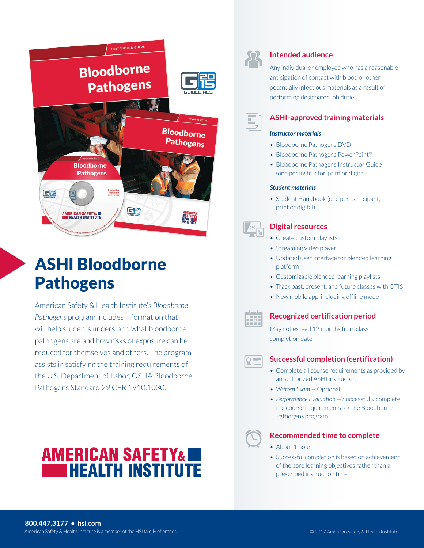

# ASHI Bloodborne **Pathogens**

American Safety & Health Institute's *Bloodborne Pathogens* program includes information that will help students understand what bloodborne pathogens are and how risks of exposure can be reduced for themselves and others. The program assists in satisfying the training requirements of the U.S. Department of Labor, OSHA Bloodborne Pathogens Standard 29 CFR 1910.1030.





#### **Intended audience**

Any individual or employee who has a reasonable anticipation of contact with blood or other potentially infectious materials as a result of performing designated job duties.



#### **ASHI-approved training materials**

#### *Instructor materials*

- Bloodborne Pathogens DVD
- Bloodborne Pathogens PowerPoint<sup>®</sup>
- Bloodborne Pathogens Instructor Guide (one per instructor, print or digital)

#### *Student materials*

• Student Handbook (one per participant, print or digital)

## **Digital resources**

- Create custom playlists
- Streaming video player
- Updated user interface for blended learning platform
- Customizable blended learning playlists
- Track past, present, and future classes with OTIS
- New mobile app, including offline mode



### **Recognized certification period**

May not exceed 12 months from class completion date

### **Successful completion (certification)**

- Complete all course requirements as provided by an authorized ASHI instructor.
- Written Exam Optional
- Performance Evaluation Successfully complete the course requirements for the Bloodborne Pathogens program.

#### **Recommended time to complete**

- About 1 hour
- Successful completion is based on achievement of the core learning objectives rather than a prescribed instruction time.